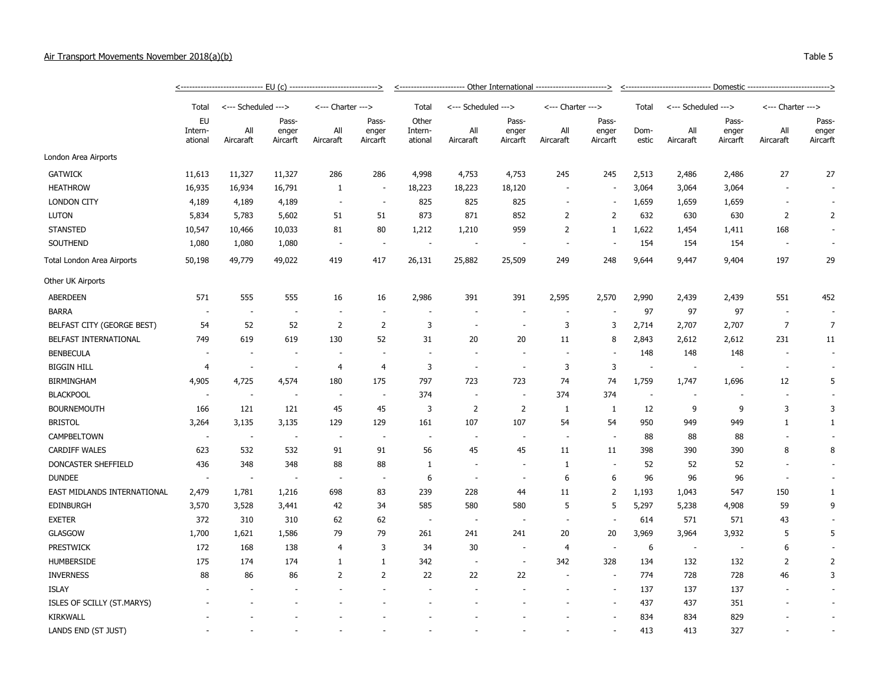## Air Transport Movements November 2018(a)(b)

|                             |                          |                          |                            |                          |                            |                             | <----------------------- Other International -------------------------> |                            | <u>&lt;------------------------------ Domestic ----------------------------&gt;</u> |                            |               |                          |                            |                   |                            |
|-----------------------------|--------------------------|--------------------------|----------------------------|--------------------------|----------------------------|-----------------------------|-------------------------------------------------------------------------|----------------------------|-------------------------------------------------------------------------------------|----------------------------|---------------|--------------------------|----------------------------|-------------------|----------------------------|
|                             | Total                    | <--- Scheduled --->      |                            | <--- Charter --->        |                            | Total                       | <--- Scheduled --->                                                     |                            | <--- Charter --->                                                                   |                            | Total         | <--- Scheduled --->      |                            | <--- Charter ---> |                            |
|                             | EU<br>Intern-<br>ational | All<br>Aircaraft         | Pass-<br>enger<br>Aircarft | All<br>Aircaraft         | Pass-<br>enger<br>Aircarft | Other<br>Intern-<br>ational | All<br>Aircaraft                                                        | Pass-<br>enger<br>Aircarft | All<br>Aircaraft                                                                    | Pass-<br>enger<br>Aircarft | Dom-<br>estic | All<br>Aircaraft         | Pass-<br>enger<br>Aircarft | All<br>Aircaraft  | Pass-<br>enger<br>Aircarft |
| London Area Airports        |                          |                          |                            |                          |                            |                             |                                                                         |                            |                                                                                     |                            |               |                          |                            |                   |                            |
| <b>GATWICK</b>              | 11,613                   | 11,327                   | 11,327                     | 286                      | 286                        | 4,998                       | 4,753                                                                   | 4,753                      | 245                                                                                 | 245                        | 2,513         | 2,486                    | 2,486                      | 27                | 27                         |
| <b>HEATHROW</b>             | 16,935                   | 16,934                   | 16,791                     | $\mathbf{1}$             | $\sim$                     | 18,223                      | 18,223                                                                  | 18,120                     | $\overline{\phantom{a}}$                                                            |                            | 3,064         | 3,064                    | 3,064                      |                   |                            |
| <b>LONDON CITY</b>          | 4,189                    | 4,189                    | 4,189                      | $\overline{\phantom{a}}$ | $\overline{\phantom{a}}$   | 825                         | 825                                                                     | 825                        | $\overline{a}$                                                                      | $\sim$                     | 1,659         | 1,659                    | 1,659                      |                   | $\sim$                     |
| <b>LUTON</b>                | 5,834                    | 5,783                    | 5,602                      | 51                       | 51                         | 873                         | 871                                                                     | 852                        | 2                                                                                   | 2                          | 632           | 630                      | 630                        | 2                 | 2                          |
| <b>STANSTED</b>             | 10,547                   | 10,466                   | 10,033                     | 81                       | 80                         | 1,212                       | 1,210                                                                   | 959                        | 2                                                                                   | -1                         | 1,622         | 1,454                    | 1,411                      | 168               |                            |
| SOUTHEND                    | 1,080                    | 1,080                    | 1,080                      |                          | $\sim$                     | ÷,                          |                                                                         |                            | ÷,                                                                                  |                            | 154           | 154                      | 154                        |                   |                            |
| Total London Area Airports  | 50,198                   | 49,779                   | 49,022                     | 419                      | 417                        | 26,131                      | 25,882                                                                  | 25,509                     | 249                                                                                 | 248                        | 9,644         | 9,447                    | 9,404                      | 197               | 29                         |
| Other UK Airports           |                          |                          |                            |                          |                            |                             |                                                                         |                            |                                                                                     |                            |               |                          |                            |                   |                            |
| <b>ABERDEEN</b>             | 571                      | 555                      | 555                        | 16                       | 16                         | 2,986                       | 391                                                                     | 391                        | 2,595                                                                               | 2,570                      | 2,990         | 2,439                    | 2,439                      | 551               | 452                        |
| <b>BARRA</b>                | $\overline{\phantom{a}}$ | $\overline{\phantom{a}}$ |                            |                          |                            |                             |                                                                         |                            |                                                                                     |                            | 97            | 97                       | 97                         |                   | $\overline{\phantom{a}}$   |
| BELFAST CITY (GEORGE BEST)  | 54                       | 52                       | 52                         | $\overline{2}$           | 2                          | 3                           | $\overline{\phantom{a}}$                                                | $\overline{\phantom{a}}$   | 3                                                                                   | 3                          | 2,714         | 2,707                    | 2,707                      | $\overline{7}$    | $\overline{7}$             |
| BELFAST INTERNATIONAL       | 749                      | 619                      | 619                        | 130                      | 52                         | 31                          | 20                                                                      | 20                         | 11                                                                                  | 8                          | 2,843         | 2,612                    | 2,612                      | 231               | 11                         |
| <b>BENBECULA</b>            |                          |                          |                            |                          |                            | $\overline{\phantom{a}}$    |                                                                         |                            |                                                                                     |                            | 148           | 148                      | 148                        |                   | $\overline{\phantom{a}}$   |
| <b>BIGGIN HILL</b>          | $\overline{4}$           | $\sim$                   | $\sim$                     | $\overline{4}$           | $\overline{4}$             | 3                           | ٠.                                                                      | ÷.                         | 3                                                                                   | 3                          | ٠.            | ÷,                       |                            |                   | ÷                          |
| <b>BIRMINGHAM</b>           | 4,905                    | 4,725                    | 4,574                      | 180                      | 175                        | 797                         | 723                                                                     | 723                        | 74                                                                                  | 74                         | 1,759         | 1,747                    | 1,696                      | 12                | 5                          |
| <b>BLACKPOOL</b>            | $\overline{\phantom{a}}$ | $\sim$                   |                            | $\overline{\phantom{a}}$ | $\sim$                     | 374                         | $\sim$                                                                  | $\overline{\phantom{a}}$   | 374                                                                                 | 374                        | $\sim$        | $\overline{\phantom{a}}$ |                            |                   |                            |
| <b>BOURNEMOUTH</b>          | 166                      | 121                      | 121                        | 45                       | 45                         | 3                           | $\overline{2}$                                                          | $\overline{2}$             | 1                                                                                   | $\mathbf{1}$               | 12            | 9                        | 9                          | 3                 | 3                          |
| <b>BRISTOL</b>              | 3,264                    | 3,135                    | 3,135                      | 129                      | 129                        | 161                         | 107                                                                     | 107                        | 54                                                                                  | 54                         | 950           | 949                      | 949                        | $\mathbf{1}$      | $\mathbf{1}$               |
| CAMPBELTOWN                 | $\overline{\phantom{a}}$ | $\sim$                   |                            | $\overline{\phantom{a}}$ |                            | $\sim$                      | $\overline{\phantom{a}}$                                                | $\overline{\phantom{a}}$   | $\sim$                                                                              | $\overline{\phantom{a}}$   | 88            | 88                       | 88                         |                   |                            |
| <b>CARDIFF WALES</b>        | 623                      | 532                      | 532                        | 91                       | 91                         | 56                          | 45                                                                      | 45                         | 11                                                                                  | 11                         | 398           | 390                      | 390                        | 8                 | 8                          |
| DONCASTER SHEFFIELD         | 436                      | 348                      | 348                        | 88                       | 88                         | $\mathbf{1}$                |                                                                         |                            | 1                                                                                   |                            | 52            | 52                       | 52                         |                   |                            |
| <b>DUNDEE</b>               | $\overline{\phantom{a}}$ | $\sim$                   |                            | ÷,                       | ÷.                         | 6                           |                                                                         |                            | 6                                                                                   | 6                          | 96            | 96                       | 96                         |                   |                            |
| EAST MIDLANDS INTERNATIONAL | 2,479                    | 1,781                    | 1,216                      | 698                      | 83                         | 239                         | 228                                                                     | 44                         | 11                                                                                  | $\overline{2}$             | 1,193         | 1,043                    | 547                        | 150               | $\mathbf{1}$               |
| <b>EDINBURGH</b>            | 3,570                    | 3,528                    | 3,441                      | 42                       | 34                         | 585                         | 580                                                                     | 580                        | 5                                                                                   | 5                          | 5,297         | 5,238                    | 4,908                      | 59                | 9                          |
| <b>EXETER</b>               | 372                      | 310                      | 310                        | 62                       | 62                         | $\overline{\phantom{a}}$    | $\overline{\phantom{a}}$                                                | $\overline{\phantom{a}}$   | $\overline{\phantom{a}}$                                                            |                            | 614           | 571                      | 571                        | 43                |                            |
| <b>GLASGOW</b>              | 1,700                    | 1,621                    | 1,586                      | 79                       | 79                         | 261                         | 241                                                                     | 241                        | 20                                                                                  | 20                         | 3,969         | 3,964                    | 3,932                      | 5                 | 5                          |
| <b>PRESTWICK</b>            | 172                      | 168                      | 138                        | $\overline{4}$           | 3                          | 34                          | 30                                                                      | $\overline{\phantom{a}}$   | 4                                                                                   |                            | 6             | $\overline{\phantom{a}}$ |                            | 6                 | $\overline{\phantom{a}}$   |
| <b>HUMBERSIDE</b>           | 175                      | 174                      | 174                        | $\mathbf{1}$             | $\mathbf{1}$               | 342                         | $\overline{\phantom{a}}$                                                |                            | 342                                                                                 | 328                        | 134           | 132                      | 132                        | 2                 | $\overline{2}$             |
| <b>INVERNESS</b>            | 88                       | 86                       | 86                         | $\overline{2}$           | 2                          | 22                          | 22                                                                      | 22                         |                                                                                     |                            | 774           | 728                      | 728                        | 46                | 3                          |
| <b>ISLAY</b>                |                          |                          |                            |                          |                            |                             |                                                                         |                            |                                                                                     |                            | 137           | 137                      | 137                        |                   |                            |
| ISLES OF SCILLY (ST.MARYS)  |                          |                          |                            |                          |                            |                             |                                                                         |                            |                                                                                     |                            | 437           | 437                      | 351                        |                   |                            |
| <b>KIRKWALL</b>             |                          |                          |                            |                          |                            |                             |                                                                         |                            |                                                                                     |                            | 834           | 834                      | 829                        |                   | $\overline{\phantom{a}}$   |
| LANDS END (ST JUST)         |                          |                          |                            |                          |                            |                             |                                                                         |                            |                                                                                     |                            | 413           | 413                      | 327                        |                   |                            |